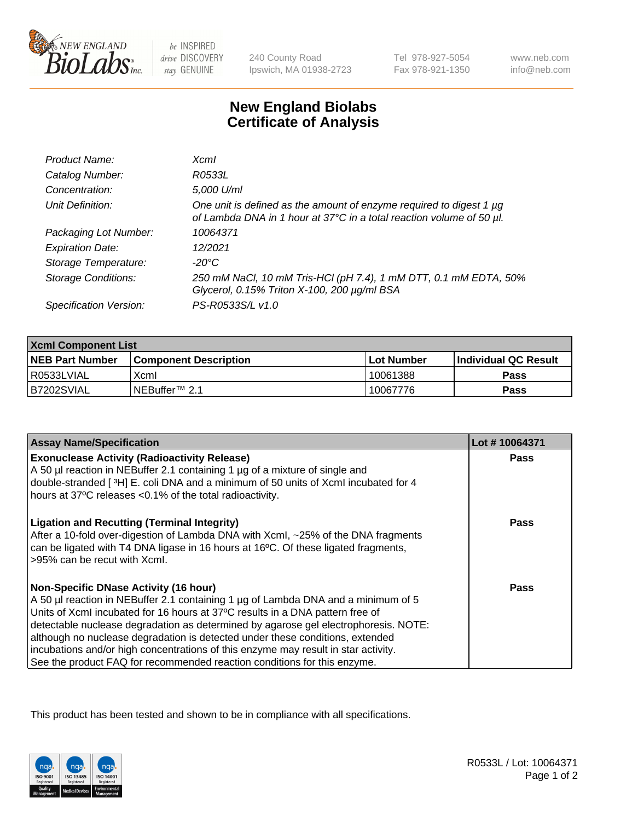

 $be$  INSPIRED drive DISCOVERY stay GENUINE

240 County Road Ipswich, MA 01938-2723 Tel 978-927-5054 Fax 978-921-1350

www.neb.com info@neb.com

## **New England Biolabs Certificate of Analysis**

| Product Name:              | $X$ cm $I$                                                                                                                                  |
|----------------------------|---------------------------------------------------------------------------------------------------------------------------------------------|
| Catalog Number:            | R0533L                                                                                                                                      |
| Concentration:             | 5,000 U/ml                                                                                                                                  |
| Unit Definition:           | One unit is defined as the amount of enzyme required to digest 1 µg<br>of Lambda DNA in 1 hour at 37°C in a total reaction volume of 50 µl. |
| Packaging Lot Number:      | 10064371                                                                                                                                    |
| <b>Expiration Date:</b>    | 12/2021                                                                                                                                     |
| Storage Temperature:       | -20°C                                                                                                                                       |
| <b>Storage Conditions:</b> | 250 mM NaCl, 10 mM Tris-HCl (pH 7.4), 1 mM DTT, 0.1 mM EDTA, 50%<br>Glycerol, 0.15% Triton X-100, 200 µg/ml BSA                             |
| Specification Version:     | PS-R0533S/L v1.0                                                                                                                            |

| <b>Xcml Component List</b> |                              |                   |                      |  |
|----------------------------|------------------------------|-------------------|----------------------|--|
| <b>NEB Part Number</b>     | <b>Component Description</b> | <b>Lot Number</b> | Individual QC Result |  |
| I R0533LVIAL               | Xcml                         | 10061388          | <b>Pass</b>          |  |
| B7202SVIAL                 | INEBuffer <sup>™</sup> 2.1   | 10067776          | Pass                 |  |

| <b>Assay Name/Specification</b>                                                                                                                                                                                                                                                                                                                                                                                                                                                                                                                              | Lot #10064371 |
|--------------------------------------------------------------------------------------------------------------------------------------------------------------------------------------------------------------------------------------------------------------------------------------------------------------------------------------------------------------------------------------------------------------------------------------------------------------------------------------------------------------------------------------------------------------|---------------|
| <b>Exonuclease Activity (Radioactivity Release)</b><br>A 50 µl reaction in NEBuffer 2.1 containing 1 µg of a mixture of single and<br>double-stranded [3H] E. coli DNA and a minimum of 50 units of Xcml incubated for 4<br>hours at 37°C releases <0.1% of the total radioactivity.                                                                                                                                                                                                                                                                         | Pass          |
| <b>Ligation and Recutting (Terminal Integrity)</b><br>After a 10-fold over-digestion of Lambda DNA with XcmI, ~25% of the DNA fragments<br>can be ligated with T4 DNA ligase in 16 hours at 16°C. Of these ligated fragments,<br>>95% can be recut with Xcml.                                                                                                                                                                                                                                                                                                | Pass          |
| <b>Non-Specific DNase Activity (16 hour)</b><br>A 50 µl reaction in NEBuffer 2.1 containing 1 µg of Lambda DNA and a minimum of 5<br>Units of XcmI incubated for 16 hours at 37°C results in a DNA pattern free of<br>detectable nuclease degradation as determined by agarose gel electrophoresis. NOTE:<br>although no nuclease degradation is detected under these conditions, extended<br>incubations and/or high concentrations of this enzyme may result in star activity.<br>See the product FAQ for recommended reaction conditions for this enzyme. | Pass          |

This product has been tested and shown to be in compliance with all specifications.